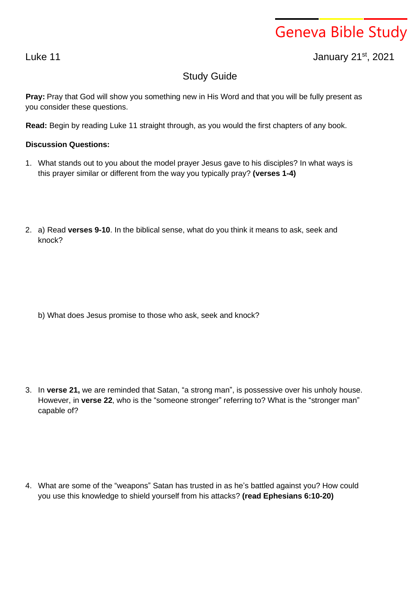## Geneva Bible Study

Luke 11 January 21st , 2021

## Study Guide

**Pray:** Pray that God will show you something new in His Word and that you will be fully present as you consider these questions.

**Read:** Begin by reading Luke 11 straight through, as you would the first chapters of any book.

## **Discussion Questions:**

- 1. What stands out to you about the model prayer Jesus gave to his disciples? In what ways is this prayer similar or different from the way you typically pray? **(verses 1-4)**
- 2. a) Read **verses 9-10**. In the biblical sense, what do you think it means to ask, seek and knock?

b) What does Jesus promise to those who ask, seek and knock?

3. In **verse 21,** we are reminded that Satan, "a strong man", is possessive over his unholy house. However, in **verse 22**, who is the "someone stronger" referring to? What is the "stronger man" capable of?

4. What are some of the "weapons" Satan has trusted in as he's battled against you? How could you use this knowledge to shield yourself from his attacks? **(read Ephesians 6:10-20)**